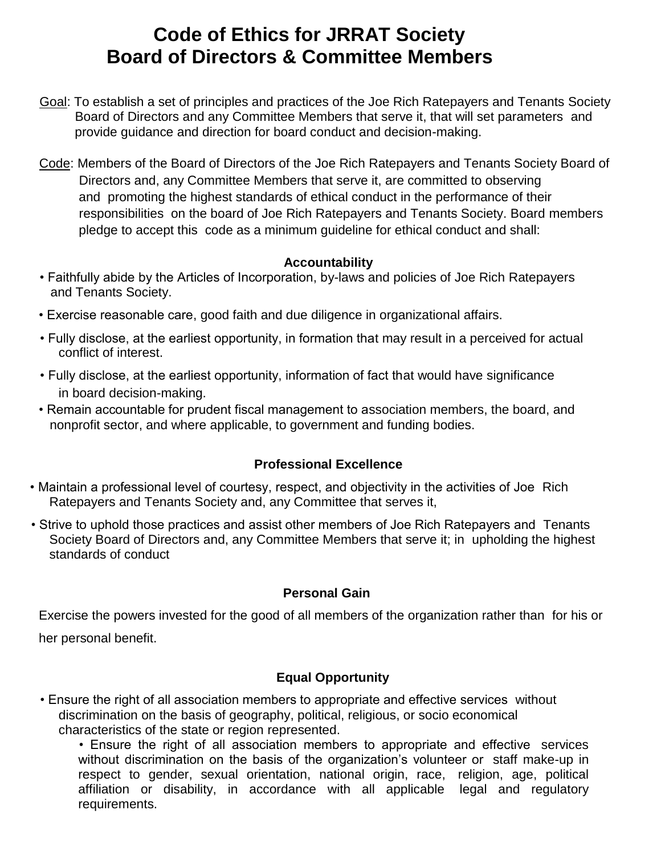# **Code of Ethics for JRRAT Society Board of Directors & Committee Members**

- Goal: To establish a set of principles and practices of the Joe Rich Ratepayers and Tenants Society Board of Directors and any Committee Members that serve it, that will set parameters and provide guidance and direction for board conduct and decision-making.
- Code: Members of the Board of Directors of the Joe Rich Ratepayers and Tenants Society Board of Directors and, any Committee Members that serve it, are committed to observing and promoting the highest standards of ethical conduct in the performance of their responsibilities on the board of Joe Rich Ratepayers and Tenants Society. Board members pledge to accept this code as a minimum guideline for ethical conduct and shall:

#### **Accountability**

- Faithfully abide by the Articles of Incorporation, by-laws and policies of Joe Rich Ratepayers and Tenants Society.
- Exercise reasonable care, good faith and due diligence in organizational affairs.
- Fully disclose, at the earliest opportunity, in formation that may result in a perceived for actual conflict of interest.
- Fully disclose, at the earliest opportunity, information of fact that would have significance in board decision-making.
- Remain accountable for prudent fiscal management to association members, the board, and nonprofit sector, and where applicable, to government and funding bodies.

# **Professional Excellence**

- Maintain a professional level of courtesy, respect, and objectivity in the activities of Joe Rich Ratepayers and Tenants Society and, any Committee that serves it,
- Strive to uphold those practices and assist other members of Joe Rich Ratepayers and Tenants Society Board of Directors and, any Committee Members that serve it; in upholding the highest standards of conduct

#### **Personal Gain**

Exercise the powers invested for the good of all members of the organization rather than for his or her personal benefit.

# **Equal Opportunity**

• Ensure the right of all association members to appropriate and effective services without discrimination on the basis of geography, political, religious, or socio economical characteristics of the state or region represented.

• Ensure the right of all association members to appropriate and effective services without discrimination on the basis of the organization's volunteer or staff make-up in respect to gender, sexual orientation, national origin, race, religion, age, political affiliation or disability, in accordance with all applicable legal and regulatory requirements.